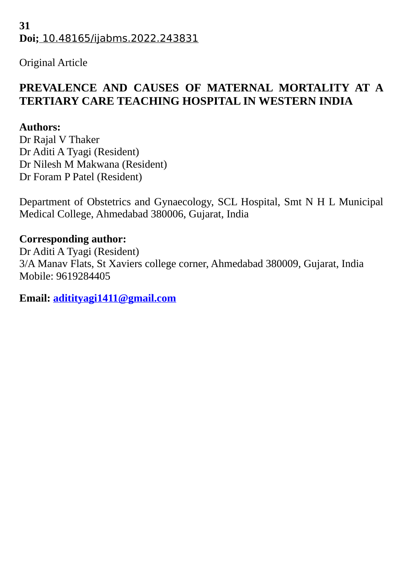## **31 Doi;** 10.48165/ijabms.2022.243831

Original Article

# **PREVALENCE AND CAUSES OF MATERNAL MORTALITY AT A TERTIARY CARE TEACHING HOSPITAL IN WESTERN INDIA**

## **Authors:**

Dr Rajal V Thaker Dr Aditi A Tyagi (Resident) Dr Nilesh M Makwana (Resident) Dr Foram P Patel (Resident)

Department of Obstetrics and Gynaecology, SCL Hospital, Smt N H L Municipal Medical College, Ahmedabad 380006, Gujarat, India

## **Corresponding author:**

Dr Aditi A Tyagi (Resident) 3/A Manav Flats, St Xaviers college corner, Ahmedabad 380009, Gujarat, India Mobile: 9619284405

**Email: [aditityagi1411@gmail.com](mailto:aditityagi1411@gmail.com)**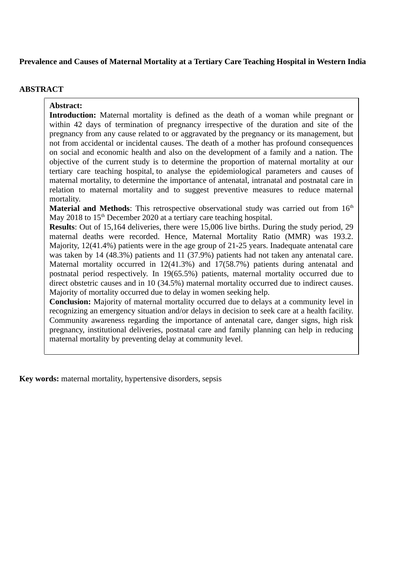## **Prevalence and Causes of Maternal Mortality at a Tertiary Care Teaching Hospital in Western India**

### **ABSTRACT**

**Abstract: Introduction:** Maternal mortality is defined as the death of a woman while pregnant or within 42 days of termination of pregnancy irrespective of the duration and site of the pregnancy from any cause related to or aggravated by the pregnancy or its management, but not from accidental or incidental causes. The death of a mother has profound consequences on social and economic health and also on the development of a family and a nation. The objective of the current study is to determine the proportion of maternal mortality at our tertiary care teaching hospital, to analyse the epidemiological parameters and causes of maternal mortality, to determine the importance of antenatal, intranatal and postnatal care in relation to maternal mortality and to suggest preventive measures to reduce maternal mortality.

**Material and Methods**: This retrospective observational study was carried out from 16<sup>th</sup> May 2018 to  $15<sup>th</sup>$  December 2020 at a tertiary care teaching hospital.

**Results**: Out of 15,164 deliveries, there were 15,006 live births. During the study period, 29 maternal deaths were recorded. Hence, Maternal Mortality Ratio (MMR) was 193.2. Majority, 12(41.4%) patients were in the age group of 21-25 years. Inadequate antenatal care was taken by 14 (48.3%) patients and 11 (37.9%) patients had not taken any antenatal care. Maternal mortality occurred in 12(41.3%) and 17(58.7%) patients during antenatal and postnatal period respectively. In 19(65.5%) patients, maternal mortality occurred due to direct obstetric causes and in 10 (34.5%) maternal mortality occurred due to indirect causes. Majority of mortality occurred due to delay in women seeking help.

**Conclusion:** Majority of maternal mortality occurred due to delays at a community level in recognizing an emergency situation and/or delays in decision to seek care at a health facility. Community awareness regarding the importance of antenatal care, danger signs, high risk pregnancy, institutional deliveries, postnatal care and family planning can help in reducing maternal mortality by preventing delay at community level.

**Key words:** maternal mortality, hypertensive disorders, sepsis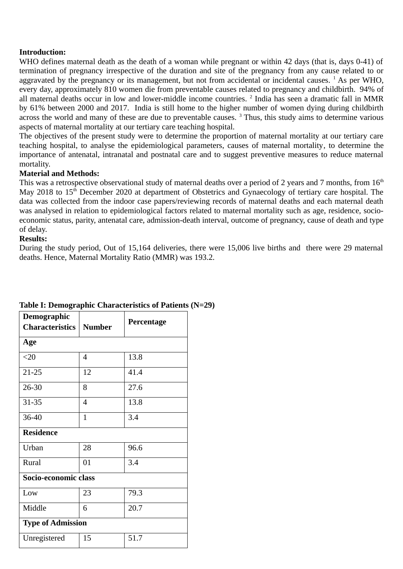## **Introduction:**

WHO defines maternal death as the death of a woman while pregnant or within 42 days (that is, days 0-41) of termination of pregnancy irrespective of the duration and site of the pregnancy from any cause related to or aggravated by the pregnancy or its management, but not from accidental or incidental causes.  $^{1}$  As per WHO, every day, approximately 810 women die from preventable causes related to pregnancy and childbirth. 94% of all maternal deaths occur in low and lower-middle income countries. <sup>2</sup> India has seen a dramatic fall in MMR by 61% between 2000 and 2017. India is still home to the higher number of women dying during childbirth across the world and many of these are due to preventable causes.  $3$  Thus, this study aims to determine various aspects of maternal mortality at our tertiary care teaching hospital.

The objectives of the present study were to determine the proportion of maternal mortality at our tertiary care teaching hospital, to analyse the epidemiological parameters, causes of maternal mortality, to determine the importance of antenatal, intranatal and postnatal care and to suggest preventive measures to reduce maternal mortality.

## **Material and Methods:**

This was a retrospective observational study of maternal deaths over a period of 2 years and 7 months, from  $16<sup>th</sup>$ May 2018 to 15<sup>th</sup> December 2020 at department of Obstetrics and Gynaecology of tertiary care hospital. The data was collected from the indoor case papers/reviewing records of maternal deaths and each maternal death was analysed in relation to epidemiological factors related to maternal mortality such as age, residence, socioeconomic status, parity, antenatal care, admission-death interval, outcome of pregnancy, cause of death and type of delay.

## **Results:**

During the study period, Out of 15,164 deliveries, there were 15,006 live births and there were 29 maternal deaths. Hence, Maternal Mortality Ratio (MMR) was 193.2.

| Demograpnic<br><b>Characteristics</b> | <b>Number</b> | Percentage |  |  |  |  |
|---------------------------------------|---------------|------------|--|--|--|--|
| Age                                   |               |            |  |  |  |  |
| $20$                                  | 4             | 13.8       |  |  |  |  |
| 21-25                                 | 12            | 41.4       |  |  |  |  |
| 26-30                                 | 8             | 27.6       |  |  |  |  |
| 31-35                                 | 4             | 13.8       |  |  |  |  |
| 36-40                                 | $\mathbf{1}$  | 3.4        |  |  |  |  |
| <b>Residence</b>                      |               |            |  |  |  |  |
| Urban                                 | 28            | 96.6       |  |  |  |  |
| Rural                                 | 01            | 3.4        |  |  |  |  |
| Socio-economic class                  |               |            |  |  |  |  |
| Low                                   | 23            | 79.3       |  |  |  |  |
| Middle                                | 6             | 20.7       |  |  |  |  |
| <b>Type of Admission</b>              |               |            |  |  |  |  |
| Unregistered                          | 15            | 51.7       |  |  |  |  |

#### **Table I: Demographic Characteristics of Patients (N=29) Demographic**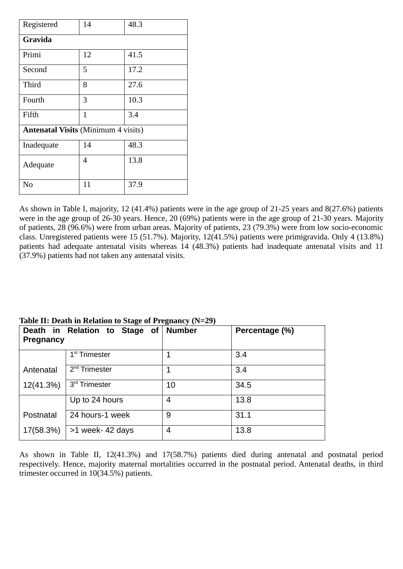| Registered                                 | 14           | 48.3 |  |  |
|--------------------------------------------|--------------|------|--|--|
| Gravida                                    |              |      |  |  |
| Primi                                      | 12           | 41.5 |  |  |
| Second                                     | 5            | 17.2 |  |  |
| Third                                      | 8            | 27.6 |  |  |
| Fourth                                     | 3            | 10.3 |  |  |
| Fifth                                      | $\mathbf{1}$ | 3.4  |  |  |
| <b>Antenatal Visits (Minimum 4 visits)</b> |              |      |  |  |
| Inadequate                                 | 14           | 48.3 |  |  |
| Adequate                                   | 4            | 13.8 |  |  |
| N <sub>0</sub>                             | 11           | 37.9 |  |  |

As shown in Table I, majority, 12 (41.4%) patients were in the age group of 21-25 years and 8(27.6%) patients were in the age group of 26-30 years. Hence, 20 (69%) patients were in the age group of 21-30 years. Majority of patients, 28 (96.6%) were from urban areas. Majority of patients, 23 (79.3%) were from low socio-economic class. Unregistered patients were 15 (51.7%). Majority, 12(41.5%) patients were primigravida. Only 4 (13.8%) patients had adequate antenatal visits whereas 14 (48.3%) patients had inadequate antenatal visits and 11 (37.9%) patients had not taken any antenatal visits.

| <b>Pregnancy</b> | Death in Relation to Stage of | <b>Number</b> | Percentage (%) |
|------------------|-------------------------------|---------------|----------------|
|                  | $1st$ Trimester               |               | 3.4            |
| Antenatal        | $2nd$ Trimester               | 1             | 3.4            |
| 12(41.3%)        | 3 <sup>rd</sup> Trimester     | 10            | 34.5           |
|                  | Up to 24 hours                | 4             | 13.8           |
| Postnatal        | 24 hours-1 week               | 9             | 31.1           |
| 17(58.3%)        | $>1$ week- 42 days            | 4             | 13.8           |

## **Table II: Death in Relation to Stage of Pregnancy (N=29)**

As shown in Table II, 12(41.3%) and 17(58.7%) patients died during antenatal and postnatal period respectively. Hence, majority maternal mortalities occurred in the postnatal period. Antenatal deaths, in third trimester occurred in 10(34.5%) patients.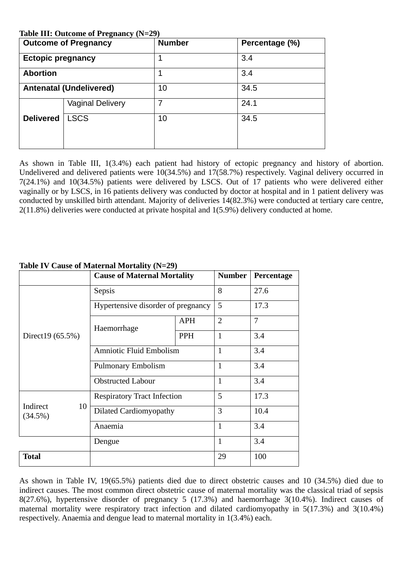### **Table III: Outcome of Pregnancy (N=29)**

| $\frac{1}{2}$<br><b>Outcome of Pregnancy</b> |                         | <b>Number</b> | Percentage (%) |
|----------------------------------------------|-------------------------|---------------|----------------|
| <b>Ectopic pregnancy</b>                     |                         | 1             | 3.4            |
| <b>Abortion</b>                              |                         | 1             | 3.4            |
| <b>Antenatal (Undelivered)</b>               |                         | 10            | 34.5           |
|                                              | <b>Vaginal Delivery</b> | 7             | 24.1           |
| <b>Delivered</b>                             | <b>LSCS</b>             | 10            | 34.5           |
|                                              |                         |               |                |

As shown in Table III, 1(3.4%) each patient had history of ectopic pregnancy and history of abortion. Undelivered and delivered patients were 10(34.5%) and 17(58.7%) respectively. Vaginal delivery occurred in 7(24.1%) and 10(34.5%) patients were delivered by LSCS. Out of 17 patients who were delivered either vaginally or by LSCS, in 16 patients delivery was conducted by doctor at hospital and in 1 patient delivery was conducted by unskilled birth attendant. Majority of deliveries 14(82.3%) were conducted at tertiary care centre, 2(11.8%) deliveries were conducted at private hospital and 1(5.9%) delivery conducted at home.

|                           | <b>Cause of Maternal Mortality</b> |            | <b>Number</b>  | Percentage |
|---------------------------|------------------------------------|------------|----------------|------------|
|                           | <b>Sepsis</b>                      |            | 8              | 27.6       |
| Direct19 (65.5%)          | Hypertensive disorder of pregnancy |            | 5              | 17.3       |
|                           | Haemorrhage                        | APH        | $\overline{2}$ | 7          |
|                           |                                    | <b>PPH</b> | $\mathbf{1}$   | 3.4        |
|                           | <b>Amniotic Fluid Embolism</b>     |            | $\mathbf{1}$   | 3.4        |
|                           | <b>Pulmonary Embolism</b>          |            | $\mathbf{1}$   | 3.4        |
|                           | <b>Obstructed Labour</b>           |            | $\mathbf{1}$   | 3.4        |
|                           | <b>Respiratory Tract Infection</b> |            | 5              | 17.3       |
| Indirect<br>10<br>(34.5%) | <b>Dilated Cardiomyopathy</b>      |            | 3              | 10.4       |
|                           | Anaemia                            |            | $\mathbf{1}$   | 3.4        |
|                           | Dengue                             |            | $\mathbf{1}$   | 3.4        |
| <b>Total</b>              |                                    |            | 29             | 100        |

## **Table IV Cause of Maternal Mortality (N=29)**

As shown in Table IV, 19(65.5%) patients died due to direct obstetric causes and 10 (34.5%) died due to indirect causes. The most common direct obstetric cause of maternal mortality was the classical triad of sepsis 8(27.6%), hypertensive disorder of pregnancy 5 (17.3%) and haemorrhage 3(10.4%). Indirect causes of maternal mortality were respiratory tract infection and dilated cardiomyopathy in 5(17.3%) and 3(10.4%) respectively. Anaemia and dengue lead to maternal mortality in 1(3.4%) each.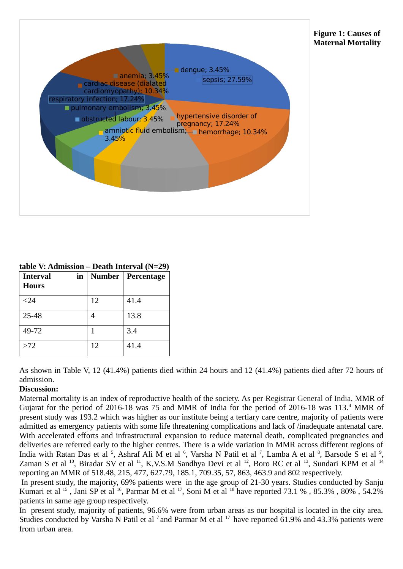

| $\alpha$ ulu Suuriissivii – Deatii Tiitei vai $\alpha$ -29) |  |                          |  |  |
|-------------------------------------------------------------|--|--------------------------|--|--|
| Interval                                                    |  | in   Number   Percentage |  |  |
| <b>Hours</b>                                                |  |                          |  |  |

**table V: Admission – Death Interval (N=29)**

| <b>Hours</b> |    |      |
|--------------|----|------|
| $24$         | 12 | 41.4 |
| 25-48        |    | 13.8 |
| 49-72        |    | 3.4  |
| $>72$        | 12 | 41.4 |

As shown in Table V, 12 (41.4%) patients died within 24 hours and 12 (41.4%) patients died after 72 hours of admission.

## **Discussion:**

Maternal mortality is an index of reproductive health of the society. As per Registrar General of India, MMR of Gujarat for the period of 2016-18 was 75 and MMR of India for the period of 2016-18 was 113.<sup>4</sup> MMR of present study was 193.2 which was higher as our institute being a tertiary care centre, majority of patients were admitted as emergency patients with some life threatening complications and lack of /inadequate antenatal care. With accelerated efforts and infrastructural expansion to reduce maternal death, complicated pregnancies and deliveries are referred early to the higher centres. There is a wide variation in MMR across different regions of India with Ratan Das et al <sup>5</sup>, Ashraf Ali M et al <sup>6</sup>, Varsha N Patil et al <sup>7</sup>, Lamba A et al <sup>8</sup>, Barsode S et al <sup>9</sup>, Zaman S et al <sup>10</sup>, Biradar SV et al <sup>11</sup>, K,V.S.M Sandhya Devi et al <sup>12</sup>, Boro RC et al <sup>13</sup>, Sundari KPM et al <sup>14</sup> reporting an MMR of 518.48, 215, 477, 627.79, 185.1, 709.35, 57, 863, 463.9 and 802 respectively.

In present study, the majority, 69% patients were in the age group of 21-30 years. Studies conducted by Sanju Kumari et al <sup>15</sup>, Jani SP et al <sup>16</sup>, Parmar M et al <sup>17</sup>, Soni M et al <sup>18</sup> have reported 73.1 %, 85.3%, 80%, 54.2% patients in same age group respectively.

In present study, majority of patients, 96.6% were from urban areas as our hospital is located in the city area. Studies conducted by Varsha N Patil et al  $^7$  and Parmar M et al  $^{17}$  have reported 61.9% and 43.3% patients were from urban area.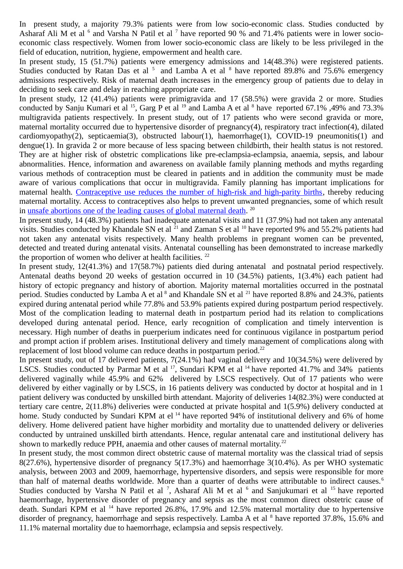In present study, a majority 79.3% patients were from low socio-economic class. Studies conducted by Asharaf Ali M et al  $<sup>6</sup>$  and Varsha N Patil et al  $<sup>7</sup>$  have reported 90 % and 71.4% patients were in lower socio-</sup></sup> economic class respectively. Women from lower socio-economic class are likely to be less privileged in the field of education, nutrition, hygiene, empowerment and health care.

In present study, 15 (51.7%) patients were emergency admissions and 14(48.3%) were registered patients. Studies conducted by Ratan Das et al  $5$  and Lamba A et al  $8$  have reported 89.8% and 75.6% emergency admissions respectively. Risk of maternal death increases in the emergency group of patients due to delay in deciding to seek care and delay in reaching appropriate care.

In present study, 12 (41.4%) patients were primigravida and 17 (58.5%) were gravida 2 or more. Studies conducted by Sanju Kumari et al <sup>15</sup>, Garg P et al <sup>19</sup> and Lamba A et al <sup>8</sup> have reported 67.1%, 49% and 73.3% multigravida patients respectively. In present study, out of 17 patients who were second gravida or more, maternal mortality occurred due to hypertensive disorder of pregnancy(4), respiratory tract infection(4), dilated cardiomyopathy(2), septicaemia(3), obstructed labour(1), haemorrhage(1), COVID-19 pneumonitis(1) and dengue(1). In gravida 2 or more because of less spacing between childbirth, their health status is not restored. They are at higher risk of obstetric complications like pre-eclampsia-eclampsia, anaemia, sepsis, and labour abnormalities. Hence, information and awareness on available family planning methods and myths regarding various methods of contraception must be cleared in patients and in addition the community must be made aware of various complications that occur in multigravida. Family planning has important implications for maternal health. [Contraceptive use reduces the number of high-risk and high-parity births,](http://link.springer.com/article/10.1007%2Fs10995-009-0505-y) thereby reducing maternal mortality. Access to contraceptives also helps to prevent unwanted pregnancies, some of which result in [unsafe abortions one of the leading causes of global maternal death.](http://www.thelancet.com/journals/langlo/article/PIIS2214-109X(14)70227-X/abstract)<sup>20</sup>

In present study, 14 (48.3%) patients had inadequate antenatal visits and 11 (37.9%) had not taken any antenatal visits. Studies conducted by Khandale SN et al <sup>21</sup> and Zaman S et al <sup>10</sup> have reported 9% and 55.2% patients had not taken any antenatal visits respectively. Many health problems in pregnant women can be prevented, detected and treated during antenatal visits. Antenatal counselling has been demonstrated to increase markedly the proportion of women who deliver at health facilities.  $22$ 

In present study, 12(41.3%) and 17(58.7%) patients died during antenatal and postnatal period respectively. Antenatal deaths beyond 20 weeks of gestation occurred in 10 (34.5%) patients, 1(3.4%) each patient had history of ectopic pregnancy and history of abortion. Majority maternal mortalities occurred in the postnatal period. Studies conducted by Lamba A et al  $^8$  and Khandale SN et al  $^{21}$  have reported 8.8% and 24.3%, patients expired during antenatal period while 77.8% and 53.9% patients expired during postpartum period respectively. Most of the complication leading to maternal death in postpartum period had its relation to complications developed during antenatal period. Hence, early recognition of complication and timely intervention is necessary. High number of deaths in puerperium indicates need for continuous vigilance in postpartum period and prompt action if problem arises. Institutional delivery and timely management of complications along with replacement of lost blood volume can reduce deaths in postpartum period.<sup>22</sup>

In present study, out of 17 delivered patients, 7(24.1%) had vaginal delivery and 10(34.5%) were delivered by LSCS. Studies conducted by Parmar M et al <sup>17</sup>, Sundari KPM et al <sup>14</sup> have reported 41.7% and 34% patients delivered vaginally while 45.9% and 62% delivered by LSCS respectively. Out of 17 patients who were delivered by either vaginally or by LSCS, in 16 patients delivery was conducted by doctor at hospital and in 1 patient delivery was conducted by unskilled birth attendant. Majority of deliveries 14(82.3%) were conducted at tertiary care centre, 2(11.8%) deliveries were conducted at private hospital and 1(5.9%) delivery conducted at home. Study conducted by Sundari KPM at el<sup>14</sup> have reported 94% of institutional delivery and 6% of home delivery. Home delivered patient have higher morbidity and mortality due to unattended delivery or deliveries conducted by untrained unskilled birth attendants. Hence, regular antenatal care and institutional delivery has shown to markedly reduce PPH, anaemia and other causes of maternal mortality.<sup>22</sup>

In present study, the most common direct obstetric cause of maternal mortality was the classical triad of sepsis 8(27.6%), hypertensive disorder of pregnancy 5(17.3%) and haemorrhage 3(10.4%). As per WHO systematic analysis, between 2003 and 2009, haemorrhage, hypertensive disorders, and sepsis were responsible for more than half of maternal deaths worldwide. More than a quarter of deaths were attributable to indirect causes.<sup>6</sup> Studies conducted by Varsha N Patil et al  $^7$ , Asharaf Ali M et al  $^6$  and Sanjukumari et al  $^{15}$  have reported haemorrhage, hypertensive disorder of pregnancy and sepsis as the most common direct obstetric cause of death. Sundari KPM et al <sup>14</sup> have reported 26.8%, 17.9% and 12.5% maternal mortality due to hypertensive disorder of pregnancy, haemorrhage and sepsis respectively. Lamba A et al  $8$  have reported 37.8%, 15.6% and 11.1% maternal mortality due to haemorrhage, eclampsia and sepsis respectively.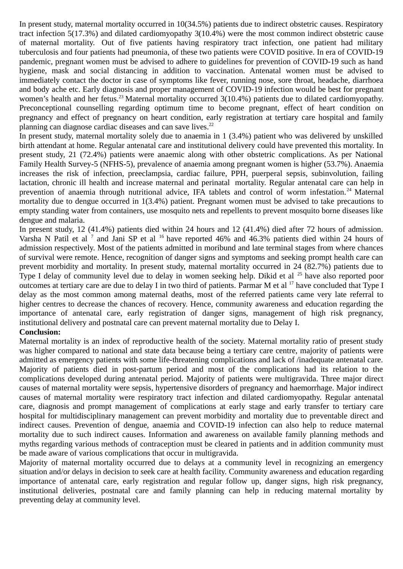In present study, maternal mortality occurred in 10(34.5%) patients due to indirect obstetric causes. Respiratory tract infection 5(17.3%) and dilated cardiomyopathy 3(10.4%) were the most common indirect obstetric cause of maternal mortality. Out of five patients having respiratory tract infection, one patient had military tuberculosis and four patients had pneumonia, of these two patients were COVID positive. In era of COVID-19 pandemic, pregnant women must be advised to adhere to guidelines for prevention of COVID-19 such as hand hygiene, mask and social distancing in addition to vaccination. Antenatal women must be advised to immediately contact the doctor in case of symptoms like fever, running nose, sore throat, headache, diarrhoea and body ache etc. Early diagnosis and proper management of COVID-19 infection would be best for pregnant women's health and her fetus.<sup>23</sup> Maternal mortality occurred 3(10.4%) patients due to dilated cardiomyopathy. Preconceptional counselling regarding optimum time to become pregnant, effect of heart condition on pregnancy and effect of pregnancy on heart condition, early registration at tertiary care hospital and family planning can diagnose cardiac diseases and can save lives. $22$ 

In present study, maternal mortality solely due to anaemia in 1 (3.4%) patient who was delivered by unskilled birth attendant at home. Regular antenatal care and institutional delivery could have prevented this mortality. In present study, 21 (72.4%) patients were anaemic along with other obstetric complications. As per National Family Health Survey-5 (NFHS-5), prevalence of anaemia among pregnant women is higher (53.7%). Anaemia increases the risk of infection, preeclampsia, cardiac failure, PPH, puerperal sepsis, subinvolution, failing lactation, chronic ill health and increase maternal and perinatal mortality. Regular antenatal care can help in prevention of anaemia through nutritional advice, IFA tablets and control of worm infestation.<sup>24</sup> Maternal mortality due to dengue occurred in 1(3.4%) patient. Pregnant women must be advised to take precautions to empty standing water from containers, use mosquito nets and repellents to prevent mosquito borne diseases like dengue and malaria.

In present study, 12 (41.4%) patients died within 24 hours and 12 (41.4%) died after 72 hours of admission. Varsha N Patil et al<sup>7</sup> and Jani SP et al<sup>16</sup> have reported 46% and 46.3% patients died within 24 hours of admission respectively. Most of the patients admitted in moribund and late terminal stages from where chances of survival were remote. Hence, recognition of danger signs and symptoms and seeking prompt health care can prevent morbidity and mortality. In present study, maternal mortality occurred in 24 (82.7%) patients due to Type I delay of community level due to delay in women seeking help. Dikid et al <sup>25</sup> have also reported poor outcomes at tertiary care are due to delay I in two third of patients. Parmar M et al <sup>17</sup> have concluded that Type I delay as the most common among maternal deaths, most of the referred patients came very late referral to higher centres to decrease the chances of recovery. Hence, community awareness and education regarding the importance of antenatal care, early registration of danger signs, management of high risk pregnancy, institutional delivery and postnatal care can prevent maternal mortality due to Delay I.

### **Conclusion:**

Maternal mortality is an index of reproductive health of the society. Maternal mortality ratio of present study was higher compared to national and state data because being a tertiary care centre, majority of patients were admitted as emergency patients with some life-threatening complications and lack of /inadequate antenatal care. Majority of patients died in post-partum period and most of the complications had its relation to the complications developed during antenatal period. Majority of patients were multigravida. Three major direct causes of maternal mortality were sepsis, hypertensive disorders of pregnancy and haemorrhage. Major indirect causes of maternal mortality were respiratory tract infection and dilated cardiomyopathy. Regular antenatal care, diagnosis and prompt management of complications at early stage and early transfer to tertiary care hospital for multidisciplinary management can prevent morbidity and mortality due to preventable direct and indirect causes. Prevention of dengue, anaemia and COVID-19 infection can also help to reduce maternal mortality due to such indirect causes. Information and awareness on available family planning methods and myths regarding various methods of contraception must be cleared in patients and in addition community must be made aware of various complications that occur in multigravida.

Majority of maternal mortality occurred due to delays at a community level in recognizing an emergency situation and/or delays in decision to seek care at health facility. Community awareness and education regarding importance of antenatal care, early registration and regular follow up, danger signs, high risk pregnancy, institutional deliveries, postnatal care and family planning can help in reducing maternal mortality by preventing delay at community level.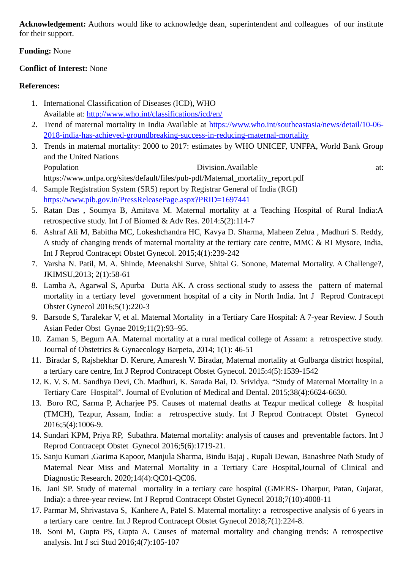**Acknowledgement:** Authors would like to acknowledge dean, superintendent and colleagues of our institute for their support.

## **Funding:** None

## **Conflict of Interest:** None

## **References:**

- 1. International Classification of Diseases (ICD), WHO Available at:<http://www.who.int/classifications/icd/en/>
- 2. Trend of maternal mortality in India Available at [https://www.who.int/southeastasia/news/detail/10-06-](https://www.who.int/southeastasia/news/detail/10-06-2018-india-has-achieved-groundbreaking-success-in-reducing-maternal-mortality) [2018-india-has-achieved-groundbreaking-success-in-reducing-maternal-mortality](https://www.who.int/southeastasia/news/detail/10-06-2018-india-has-achieved-groundbreaking-success-in-reducing-maternal-mortality)
- 3. Trends in maternal mortality: 2000 to 2017: estimates by WHO UNICEF, UNFPA, World Bank Group and the United Nations Population Division.Available at:
- https://www.unfpa.org/sites/default/files/pub-pdf/Maternal\_mortality\_report.pdf 4. Sample Registration System (SRS) report by Registrar General of India (RGI)
- <https://www.pib.gov.in/PressReleasePage.aspx?PRID=1697441>
- 5. Ratan Das , Soumya B, Amitava M. Maternal mortality at a Teaching Hospital of Rural India:A retrospective study. Int J of Biomed & Adv Res. 2014:5(2):114-7
- 6. Ashraf Ali M, Babitha MC, Lokeshchandra HC, Kavya D. Sharma, Maheen Zehra , Madhuri S. Reddy, A study of changing trends of maternal mortality at the tertiary care centre, MMC & RI Mysore, India, Int J Reprod Contracept Obstet Gynecol. 2015;4(1):239-242
- 7. Varsha N. Patil, M. A. Shinde, Meenakshi Surve, Shital G. Sonone, Maternal Mortality. A Challenge?, JKIMSU,2013; 2(1):58-61
- 8. Lamba A, Agarwal S, Apurba Dutta AK. A cross sectional study to assess the pattern of maternal mortality in a tertiary level government hospital of a city in North India. Int J Reprod Contracept Obstet Gynecol 2016;5(1):220-3
- 9. Barsode S, Taralekar V, et al. Maternal Mortality in a Tertiary Care Hospital: A 7-year Review. J South Asian Feder Obst Gynae 2019;11(2):93–95.
- 10. Zaman S, Begum AA. Maternal mortality at a rural medical college of Assam: a retrospective study. Journal of Obstetrics & Gynaecology Barpeta, 2014; 1(1): 46-51
- 11. Biradar S, Rajshekhar D. Kerure, Amaresh V. Biradar, Maternal mortality at Gulbarga district hospital, a tertiary care centre, Int J Reprod Contracept Obstet Gynecol. 2015:4(5):1539-1542
- 12. K. V. S. M. Sandhya Devi, Ch. Madhuri, K. Sarada Bai, D. Srividya. "Study of Maternal Mortality in a Tertiary Care Hospital". Journal of Evolution of Medical and Dental. 2015;38(4):6624-6630.
- 13. Boro RC, Sarma P, Acharjee PS. Causes of maternal deaths at Tezpur medical college & hospital (TMCH), Tezpur, Assam, India: a retrospective study. Int J Reprod Contracept Obstet Gynecol 2016;5(4):1006-9.
- 14. Sundari KPM, Priya RP, Subathra. Maternal mortality: analysis of causes and preventable factors. Int J Reprod Contracept Obstet Gynecol 2016;5(6):1719-21.
- 15. Sanju Kumari ,Garima Kapoor, Manjula Sharma, Bindu Bajaj , Rupali Dewan, Banashree Nath Study of Maternal Near Miss and Maternal Mortality in a Tertiary Care Hospital,Journal of Clinical and Diagnostic Research. 2020;14(4):QC01-QC06.
- 16. Jani SP. Study of maternal mortality in a tertiary care hospital (GMERS- Dharpur, Patan, Gujarat, India): a three-year review. Int J Reprod Contracept Obstet Gynecol 2018;7(10):4008-11
- 17. Parmar M, Shrivastava S, Kanhere A, Patel S. Maternal mortality: a retrospective analysis of 6 years in a tertiary care centre. Int J Reprod Contracept Obstet Gynecol 2018;7(1):224-8.
- 18. Soni M, Gupta PS, Gupta A. Causes of maternal mortality and changing trends: A retrospective analysis. Int J sci Stud 2016;4(7):105-107